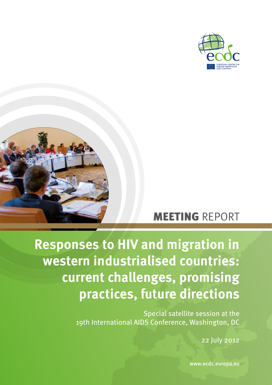



## MEETING REPORT

# **Responses to HIV and migration in western industrialised countries: current challenges, promising practices, future directions**

Special satellite session at the 19th International AIDS Conference, Washington, DC

22 July 2012

www.ecdc.europa.eu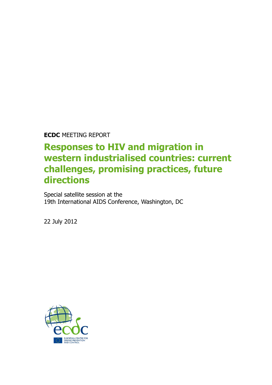**ECDC** MEETING REPORT

## **Responses to HIV and migration in western industrialised countries: current challenges, promising practices, future directions**

Special satellite session at the 19th International AIDS Conference, Washington, DC

22 July 2012

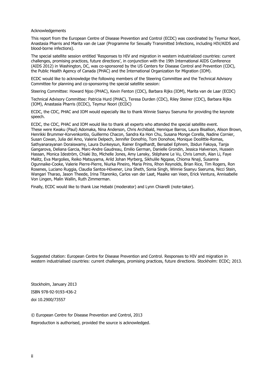Acknowledgements

This report from the European Centre of Disease Prevention and Control (ECDC) was coordinated by Teymur Noori, Anastasia Pharris and Marita van de Laar (Programme for Sexually Transmitted Infections, including HIV/AIDS and blood-borne infections).

The special satellite session entitled 'Responses to HIV and migration in western industrialized countries: current challenges, promising practices, future directions', in conjunction with the 19th International AIDS Conference (AIDS 2012) in Washington, DC, was co-sponsored by the US Centers for Disease Control and Prevention (CDC), the Public Health Agency of Canada (PHAC) and the International Organization for Migration (IOM).

ECDC would like to acknowledge the following members of the Steering Committee and the Technical Advisory Committee for planning and co-sponsoring the special satellite session:

Steering Committee: Howard Njoo (PHAC), Kevin Fenton (CDC), Barbara Rijks (IOM), Marita van de Laar (ECDC)

Technical Advisory Committee: Patricia Hurd (PHAC), Teresa Durden (CDC), Riley Steiner (CDC), Barbara Rijks (IOM), Anastasia Pharris (ECDC), Teymur Noori (ECDC)

ECDC, the CDC, PHAC and IOM would especially like to thank Winnie Ssanyu Sseruma for providing the keynote speech.

ECDC, the CDC, PHAC and IOM would like to thank all experts who attended the special satellite event. These were Kwaku (Paul) Adomaka, Nina Anderson, Chris Archibald, Henrique Barros, Laura Bisallion, Alison Brown, Henrikki Brummer-Korvenkontio, Guillermo Chacon, Sandra Ka Hon Chu, Susana Monge Corella, Nadine Cornier, Susan Cowan, Julia del Amo, Valerie Delpech, Jennifer Donofrio, Tom Donohoe, Monique Doolittle-Romas, Sathyanarayanan Doraiswamy, Laura Dunkeysun, Rainer Engelhardt, Bersabel Ephrem, Ibidun Fakoya, Tanja Gangarova, Deliana Garcia, Marc-Andre Gaudreau, Emilio German, Danielle Grondin, Jessica Halverson, Hussein Hassan, Monica Ideström, Chiaki Ito, Michelle Jones, Amy Lansky, Stéphane Le Vu, Chris Lemoh, Alan Li, Faye Malitz, Eva Margolies, Reiko Matsuyama, Arild Johan Myrberg, Sikhulile Ngqase, Chioma Nnaji, Susanna Ogunnaike-Cooke, Valerie Pierre-Pierre, Niurka Pineiro, Maria Prins, Rhon Reynolds, Brian Rice, Tim Rogers, Ron Rosenes, Luciano Ruggia, Claudia Santos-Hövener, Lina Sheth, Sonia Singh, Winnie Ssanyu Sseruma, Nicci Stein, Wangari Tharao, Jason Theede, Irina Titarenko, Carlos van der Laat, Maaike van Veen, Erick Ventura, Annisabelle Von Lingen, Malin Wallin, Ruth Zimmerman.

Finally, ECDC would like to thank Lise Hebabi (moderator) and Lynn Chiarelli (note-taker).

Suggested citation: European Centre for Disease Prevention and Control. Responses to HIV and migration in western industrialised countries: current challenges, promising practices, future directions. Stockholm: ECDC; 2013.

Stockholm, January 2013 ISBN 978-92-9193-436-2 doi 10.2900/73557

© European Centre for Disease Prevention and Control, 2013 Reproduction is authorised, provided the source is acknowledged.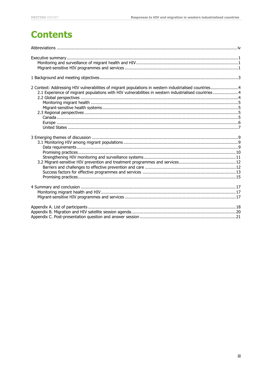## **Contents**

| 2 Context: Addressing HIV vulnerabilities of migrant populations in western industrialised countries4<br>2.1 Experience of migrant populations with HIV vulnerabilities in western industrialised countries4 |
|--------------------------------------------------------------------------------------------------------------------------------------------------------------------------------------------------------------|
|                                                                                                                                                                                                              |
|                                                                                                                                                                                                              |
|                                                                                                                                                                                                              |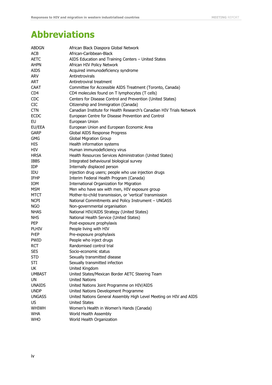## <span id="page-4-0"></span>**Abbreviations**

| ABDGN           | African Black Diaspora Global Network                                |
|-----------------|----------------------------------------------------------------------|
| <b>ACB</b>      | African-Caribbean-Black                                              |
| <b>AETC</b>     | AIDS Education and Training Centers - United States                  |
| ahpn            | African HIV Policy Network                                           |
| AIDS            | Acquired immunodeficiency syndrome                                   |
| <b>ARV</b>      | Antiretrovirals                                                      |
| <b>ART</b>      | Antiretroviral treatment                                             |
| CAAT            | Committee for Accessible AIDS Treatment (Toronto, Canada)            |
| CD <sub>4</sub> | CD4 molecules found on T lymphocytes (T cells)                       |
| <b>CDC</b>      | Centers for Disease Control and Prevention (United States)           |
| <b>CIC</b>      | Citizenship and Immigration (Canada)                                 |
| <b>CTN</b>      | Canadian Institute for Health Research's Canadian HIV Trials Network |
| <b>ECDC</b>     | European Centre for Disease Prevention and Control                   |
| EU              | European Union                                                       |
| EU/EEA          | European Union and European Economic Area                            |
| <b>GARP</b>     | Global AIDS Response Progress                                        |
| <b>GMG</b>      | <b>Global Migration Group</b>                                        |
| <b>HIS</b>      | Health information systems                                           |
| HIV             | Human immunodeficiency virus                                         |
| <b>HRSA</b>     | Health Resources Services Administration (United States)             |
| <b>IBBS</b>     | Integrated behavioural biological survey                             |
| IDP             | Internally displaced person                                          |
| IDU             | injection drug users; people who use injection drugs                 |
| IFHP            | Interim Federal Health Program (Canada)                              |
| IOM             | International Organization for Migration                             |
| <b>MSM</b>      | Men who have sex with men, HIV exposure group                        |
| MTCT            | Mother-to-child transmission, or 'vertical' transmission             |
| <b>NCPI</b>     | National Commitments and Policy Instrument - UNGASS                  |
| NGO             | Non-governmental organisation                                        |
| <b>NHAS</b>     | National HIV/AIDS Strategy (United States)                           |
| <b>NHS</b>      | National Health Service (United States)                              |
| <b>PEP</b>      | Post-exposure prophylaxis                                            |
| <b>PLHIV</b>    | People living with HIV                                               |
| PrEP            | Pre-exposure prophylaxis                                             |
| <b>PWID</b>     | People who inject drugs                                              |
| <b>RCT</b>      | Randomised control trial                                             |
| SES             | Socio-economic status                                                |
| STD             | Sexually transmitted disease                                         |
| STI             | Sexually transmitted infection                                       |
| UK              | United Kingdom                                                       |
| <b>UMBAST</b>   | United States/Mexican Border AETC Steering Team                      |
| UN              | <b>United Nations</b>                                                |
| <b>UNAIDS</b>   | United Nations Joint Programme on HIV/AIDS                           |
| <b>UNDP</b>     | United Nations Development Programme                                 |
| <b>UNGASS</b>   | United Nations General Assembly High Level Meeting on HIV and AIDS   |
| US              | <b>United States</b>                                                 |
| <b>WHIWH</b>    | Women's Health in Women's Hands (Canada)                             |
| <b>WHA</b>      | World Health Assembly                                                |
| <b>WHO</b>      | World Health Organization                                            |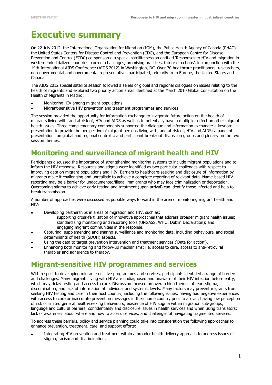## <span id="page-5-0"></span>**Executive summary**

On 22 July 2012, the International Organization for Migration (IOM), the Public Health Agency of Canada (PHAC), the United States Centers for Disease Control and Prevention (CDC), and the European Centre for Disease Prevention and Control (ECDC) co-sponsored a special satellite session entitled 'Responses to HIV and migration in western industrialized countries: current challenges, promising practices, future directions', in conjunction with the 19th International AIDS Conference (AIDS 2012) in Washington, DC. Over 70 healthcare practitioners, researchers, non-governmental and governmental representatives participated, primarily from Europe, the United States and Canada.

The AIDS 2012 special satellite session followed a series of global and regional dialogues on issues relating to the health of migrants and explored two priority action areas identified at the March 2010 Global Consultation on the Health of Migrants in Madrid:

- Monitoring HIV among migrant populations
- Migrant-sensitive HIV prevention and treatment programmes and services

The session provided the opportunity for information exchange to invigorate future action on the health of migrants living with, and at risk of, HIV and AIDS as well as to potentially have a multiplier effect on other migrant health issues. Three complementary components supported the dialogue and information exchange: a keynote presentation to provide the perspective of migrant persons living with, and at risk of, HIV and AIDS; a panel of presentations on global and regional contexts; and participant break-out discussion groups and plenary on the two session themes.

## <span id="page-5-1"></span>**Monitoring and surveillance of migrant health and HIV**

Participants discussed the importance of strengthening monitoring systems to include migrant populations and to inform the HIV response. Resources and stigma were identified as two particular challenges with respect to improving data on migrant populations and HIV. Barriers to healthcare-seeking and disclosure of information by migrants make it challenging and unrealistic to achieve a complete reporting of relevant data. Name-based HIV reporting may be a barrier for undocumented/illegal immigrants who may face criminalization or deportation. Overcoming stigma to achieve early testing and treatment (upon arrival) can identify those infected and help to break transmission.

A number of approaches were discussed as possible ways forward in the area of monitoring migrant health and  $HIV$ 

- Developing partnerships in areas of migration and HIV, such as:
	- supporting cross-fertilisation of innovative approaches that address broader migrant health issues;
	- standardising monitoring and reporting tools (UNGASS, WHO, Dublin Declaration); and
	- engaging migrant communities in the response.
- Capturing, supplementing and sharing surveillance and monitoring data, including behavioural and social determinants of health (SDOH) aspects.
- Using the data to target prevention intervention and treatment services ('Data for action').
- Enhancing both monitoring and follow-up mechanisms; i.e. access to care, access to anti-retroviral therapies and adherence to therapy.

### <span id="page-5-2"></span>**Migrant-sensitive HIV programmes and services**

With respect to developing migrant-sensitive programmes and services, participants identified a range of barriers and challenges. Many migrants living with HIV are undiagnosed and unaware of their HIV infection before entry, which may delay testing and access to care. Discussion focused on overarching themes of fear, stigma, discrimination, and lack of information at individual and systemic levels. Many factors may prevent migrants from seeking HIV testing and care in their host country, including the following issues: having had negative experiences with access to care or inaccurate prevention messages in their home country prior to arrival; having low perception of risk or limited general health-seeking behaviours; existence of HIV stigma within migration sub-groups; language and cultural barriers; confidentiality and disclosure issues in health services and when using translators; lack of awareness about where and how to access services; and challenges of navigating fragmented services.

To address these barriers, policy and service planning could take into consideration the following approaches to enhance prevention, treatment, care, and support efforts:

Integrating HIV prevention and treatment within a broader health delivery approach to address issues of stigma, racism and discrimination.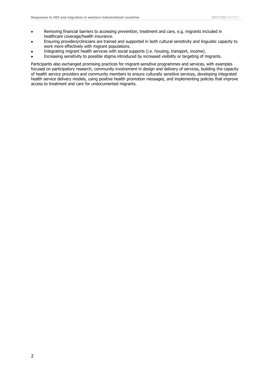- Removing financial barriers to accessing prevention, treatment and care, e.g. migrants included in healthcare coverage/health insurance.
- Ensuring providers/clinicians are trained and supported in both cultural sensitivity and linguistic capacity to work more effectively with migrant populations.
- Integrating migrant health services with social supports (i.e. housing, transport, income).
- Increasing sensitivity to possible stigma introduced by increased visibility or targeting of migrants.

Participants also exchanged promising practices for migrant-sensitive programmes and services, with examples focused on participatory research, community involvement in design and delivery of services, building the capacity of health service providers and community members to ensure culturally sensitive services, developing integrated health service delivery models, using positive health promotion messages, and implementing policies that improve access to treatment and care for undocumented migrants.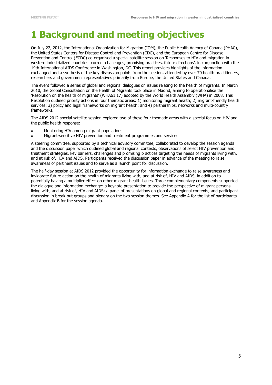## <span id="page-7-0"></span>**1 Background and meeting objectives**

On July 22, 2012, the International Organization for Migration (IOM), the Public Health Agency of Canada (PHAC), the United States Centers for Disease Control and Prevention (CDC), and the European Centre for Disease Prevention and Control (ECDC) co-organised a special satellite session on 'Responses to HIV and migration in western industrialized countries: current challenges, promising practices, future directions', in conjunction with the 19th International AIDS Conference in Washington, DC. This report provides highlights of the information exchanged and a synthesis of the key discussion points from the session, attended by over 70 health practitioners, researchers and government representatives primarily from Europe, the United States and Canada.

The event followed a series of global and regional dialogues on issues relating to the health of migrants. In March 2010, the Global Consultation on the Health of Migrants took place in Madrid, aiming to operationalise the 'Resolution on the health of migrants' (WHA61.17) adopted by the World Health Assembly (WHA) in 2008. This Resolution outlined priority actions in four thematic areas: 1) monitoring migrant health; 2) migrant-friendly health services; 3) policy and legal frameworks on migrant health; and 4) partnerships, networks and multi-country frameworks.

The AIDS 2012 special satellite session explored two of these four thematic areas with a special focus on HIV and the public health response:

- Monitoring HIV among migrant populations
- Migrant-sensitive HIV prevention and treatment programmes and services

A steering committee, supported by a technical advisory committee, collaborated to develop the session agenda and the discussion paper which outlined global and regional contexts, observations of select HIV prevention and treatment strategies, key barriers, challenges and promising practices targeting the needs of migrants living with, and at risk of, HIV and AIDS. Participants received the discussion paper in advance of the meeting to raise awareness of pertinent issues and to serve as a launch point for discussion.

The half-day session at AIDS 2012 provided the opportunity for information exchange to raise awareness and invigorate future action on the health of migrants living with, and at risk of, HIV and AIDS, in addition to potentially having a multiplier effect on other migrant health issues. Three complementary components supported the dialogue and information exchange: a keynote presentation to provide the perspective of migrant persons living with, and at risk of, HIV and AIDS; a panel of presentations on global and regional contexts; and participant discussion in break-out groups and plenary on the two session themes. See Appendix A for the list of participants and Appendix B for the session agenda.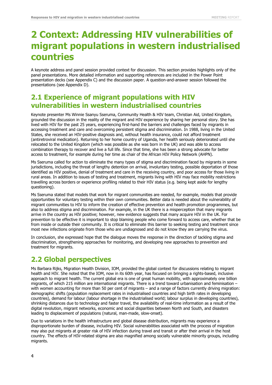## <span id="page-8-0"></span>**2 Context: Addressing HIV vulnerabilities of migrant populations in western industrialised countries**

A keynote address and panel session provided context for discussion. This section provides highlights only of the panel presentations. More detailed information and supporting references are included in the Power Point presentation decks (see Appendix C) and the discussion paper. A question-and-answer session followed the presentations (see Appendix D).

### <span id="page-8-1"></span>**2.1 Experience of migrant populations with HIV vulnerabilities in western industrialised countries**

Keynote presenter Ms Winnie Ssanyu Sseruma, Community Health & HIV team, Christian Aid, United Kingdom, grounded the discussion in the reality of the migrant and HIV experience by sharing her personal story. She has lived with HIV for the past 25 years, experiencing first-hand the barriers and challenges faced by migrants in accessing treatment and care and overcoming persistent stigma and discrimination. In 1988, living in the United States, she received an HIV-positive diagnosis and, without health insurance, could not afford treatment (antiretroviral medication). Returning to her home country of Uganda, her health seriously deteriorated until she relocated to the United Kingdom (which was possible as she was born in the UK) and was able to access combination therapy to recover and live a full life. Since that time, she has been a strong advocate for better access to treatment, for example during her time as chair of the African HIV Policy Network (AHPN).

Ms Sseruma called for action to eliminate the many types of stigma and discrimination faced by migrants in some jurisdictions, including the threat of lengthy detention on arrival, involuntary testing, possible deportation of those identified as HIV positive, denial of treatment and care in the receiving country, and poor access for those living in rural areas. In addition to issues of testing and treatment, migrants living with HIV may face mobility restrictions travelling across borders or experience profiling related to their HIV status (e.g. being kept aside for lengthy questioning).

Ms Sseruma stated that models that work for migrant communities are needed, for example, models that provide opportunities for voluntary testing within their own communities. Better data is needed about the vulnerability of migrant communities to HIV to inform the creation of effective prevention and health promotion programmes, but also to address stigma and discrimination. For example, in the UK there is a misperception that many migrants arrive in the country as HIV positive; however, new evidence suggests that many acquire HIV in the UK. For prevention to be effective it is important to stop blaming people who come forward to access care, whether that be from inside or outside their community. It is critical to eliminate this barrier to seeking testing and treatment since most new infections originate from those who are undiagnosed and do not know they are carrying the virus.

In conclusion, she expressed hope that the dialogue moves the response in the direction of tackling stigma and discrimination, strengthening approaches for monitoring, and developing new approaches to prevention and treatment for migrants.

## <span id="page-8-2"></span>**2.2 Global perspectives**

Ms Barbara Rijks, Migration Health Division, IOM, provided the global context for discussions relating to migrant health and HIV. She noted that the IOM, now in its 60th year, has focused on bringing a rights-based, inclusive approach to migrant health. The current global era is one of great human mobility, with approximately one billion migrants, of which 215 million are international migrants. There is a trend toward urbanisation and feminisation – with women accounting for more than 50 per cent of migrants – and a range of factors currently driving migration: demographic shifts (population replacement rates in industrialised countries and high birth rates in developing countries), demand for labour (labour shortage in the industrialised world; labour surplus in developing countries), shrinking distances due to technology and faster travel, the availability of real-time information as a result of the digital revolution, migrant networks, economic and social disparities between North and South, and disasters leading to displacement of populations (natural, man-made, slow-onset).

Due to variations in the health infrastructure and global disease distribution, migrants may experience a disproportionate burden of disease, including HIV. Social vulnerabilities associated with the process of migration may also put migrants at greater risk of HIV infection during travel and transit or after their arrival in the host country. The effects of HIV-related stigma are also magnified among socially vulnerable minority groups, including migrants.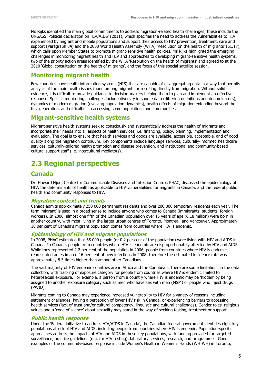Ms Rijks identified the main global commitments to address migration-related health challenges; these include the UNGASS 'Political declaration on HIV/AIDS' (2011), which specifies the need to address the vulnerabilities to HIV experienced by migrant and mobile populations and support their access to HIV prevention, treatment, care and support (Paragraph 84) and the 2008 World Health Assembly (WHA) 'Resolution on the health of migrants' (61.17), which calls upon Member States to promote migrant-sensitive health policies. Ms Rijks highlighted the emerging challenges in monitoring migrant health and HIV and approaches to developing migrant-sensitive health systems, two of the priority action areas identified by the WHA 'Resolution on the health of migrants' and agreed to at the 2010 'Global consultation on the health of migrants', and the focus of this special satellite session.

### <span id="page-9-0"></span>**Monitoring migrant health**

Few countries have health information systems (HIS) that are capable of disaggregating data in a way that permits analysis of the main health issues found among migrants or resulting directly from migration. Without solid evidence, it is difficult to provide guidance to decision-makers helping them to plan and implement an effective response. Specific monitoring challenges include diversity in source data (differing definitions and denominators), dynamics of modern migration (evolving population dynamics), health effects of migration extending beyond the first generation, and difficulties in accessing some populations and communities.

#### <span id="page-9-1"></span>**Migrant-sensitive health systems**

Migrant-sensitive health systems seek to consciously and systematically address the health of migrants and incorporate their needs into all aspects of health services, i.e. financing, policy, planning, implementation and evaluation. The goal is to ensure that health services and goods are available, accessible, acceptable, and of good quality along the migration continuum. Key components include language services, culturally-informed healthcare services, culturally-tailored health promotion and disease prevention, and institutional and community-based cultural support staff (i.e. intercultural mediators).

### <span id="page-9-2"></span>**2.3 Regional perspectives**

#### <span id="page-9-3"></span>**Canada**

Dr. Howard Njoo, Centre for Communicable Diseases and Infection Control, PHAC, discussed the epidemiology of HIV, the determinants of health as applicable to HIV vulnerabilities for migrants in Canada, and the federal public health and community responses to HIV.

#### **Migration context and trends**

Canada admits approximately 250 000 permanent residents and over 200 000 temporary residents each year. The term 'migrant' is used in a broad sense to include anyone who comes to Canada (immigrants, students, foreign workers). In 2006, almost one fifth of the Canadian population over 15 years of age (6.18 million) were born in another country, with most living in the larger urban centres of Toronto, Montreal, and Vancouver. Approximately 10 per cent of Canada's migrant population comes from countries where HIV is endemic.

#### **Epidemiology of HIV and migrant populations**

In 2008, PHAC estimated that 65 000 people (or 0.2 per cent of the population) were living with HIV and AIDS in Canada. In Canada, people from countries where HIV is endemic are disproportionately affected by HIV and AIDS. While they represented 2.2 per cent of the population in 2006, people from countries where HIV is endemic represented an estimated 16 per cent of new infections in 2008; therefore the estimated incidence rate was approximately 8.5 times higher than among other Canadians.

The vast majority of HIV endemic countries are in Africa and the Caribbean. There are some limitations in the data collection, with tracking of exposure category for people from countries where HIV is endemic limited to heterosexual exposure. For example, a person from a country where HIV is endemic may be 'hidden' by being assigned to another exposure category such as men who have sex with men (MSM) or people who inject drugs (PWID).

Migrants coming to Canada may experience increased vulnerability to HIV for a variety of reasons including settlement challenges, having a perception of lower HIV risk in Canada, or experiencing barriers to accessing health services (lack of trust and/or cultural competency, linguistic and cultural challenges). Gender roles, religious values and a 'code of silence' about sexuality may stand in the way of seeking testing, treatment or support.

#### **Public health response**

Under the 'Federal initiative to address HIV/AIDS in Canada', the Canadian federal government identifies eight key populations at risk of HIV and AIDS, including people from countries where HIV is endemic. Population-specific approaches address the impacts of HIV and AIDS in these key populations, with funding provided for targeted surveillance, practice guidelines (e.g. for HIV testing), laboratory services, research, and programmes. Good examples of the community-based response include Women's Health in Women's Hands (WHIWH) in Toronto,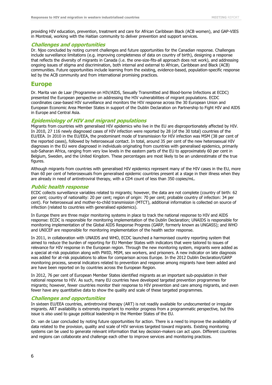providing HIV education, prevention, treatment and care for African Caribbean Black (ACB women), and GAP-VIES in Montreal, working with the Haitian community to deliver prevention and support services.

#### **Challenges and opportunities**

Dr. Njoo concluded by noting current challenges and future opportunities for the Canadian response. Challenges include surveillance limitations (e.g. improving completeness of data on country of birth), designing a response that reflects the diversity of migrants in Canada (i.e. the one-size-fits-all approach does not work), and addressing ongoing issues of stigma and discrimination, both internal and external to African, Caribbean and Black (ACB) communities. Future opportunities include learning from the existing, evidence-based, population-specific response led by the ACB community and from international promising practices.

#### <span id="page-10-0"></span>**Europe**

Dr. Marita van de Laar (Programme on HIV/AIDS, Sexually Transmitted and Blood-borne Infections at ECDC) presented the European perspective on addressing the HIV vulnerabilities of migrant populations. ECDC coordinates case-based HIV surveillance and monitors the HIV response across the 30 European Union and European Economic Area Member States in support of the Dublin Declaration on Partnership to Fight HIV and AIDS in Europe and Central Asia.

#### **Epidemiology of HIV and migrant populations**

Migrants from countries with generalised HIV epidemics who live in the EU are disproportionately affected by HIV. In 2010, 27 116 newly diagnosed cases of HIV infection were reported by 28 (of the 30 total) countries of the EU/EEA. In 2010 in the EU/EEA, the predominant mode of transmission for HIV infection was MSM (38 per cent of the reported cases), followed by heterosexual contact. In total, around 35 per cent of the new heterosexual HIV diagnoses in the EU were diagnosed in individuals originating from countries with generalised epidemics, primarily sub-Saharan Africa, ranging from very low levels in the eastern parts of the EU to approximately 60 per cent in Belgium, Sweden, and the United Kingdom. These percentages are most likely to be an underestimate of the true figures.

Although migrants from countries with generalised HIV epidemics represent many of the HIV cases in the EU, more than 60 per cent of heterosexuals from generalised epidemic countries present at a stage in their illness when they are already in need of antiretroviral therapy, with a CD4 count of less than 350 copies/mL.

#### **Public health response**

ECDC collects surveillance variables related to migrants; however, the data are not complete (country of birth: 62 per cent; country of nationality: 20 per cent; region of origin: 70 per cent; probable country of infection: 34 per cent). For heterosexual and mother-to-child transmission (MTCT), additional information is collected on source of infection (related to countries with generalised epidemics).

In Europe there are three major monitoring systems in place to track the national response to HIV and AIDS response: ECDC is responsible for monitoring implementation of the Dublin Declaration; UNAIDS is responsible for monitoring implementation of the Global AIDS Response Progress (GARP, formerly known as UNGASS); and WHO and UNICEF are responsible for monitoring implementation of the health sector response.

In 2011, in collaboration with UNAIDS and WHO, ECDC launched a harmonised country reporting system that aimed to reduce the burden of reporting for EU Member States with indicators that were tailored to issues of relevance for HIV response in the European region. Through the new monitoring system, migrants were added as a special at-risk population along with PWID, MSM, sex workers, and prisoners. A new indicator on late diagnosis was added for at-risk populations to allow for comparison across Europe. In the 2012 Dublin Declaration/GARP monitoring process, several indicators related to prevention and response among migrants have been added and are have been reported on by countries across the European Region.

In 2012, 76 per cent of European Member States identified migrants as an important sub-population in their national response to HIV. As such, many EU countries have developed targeted prevention programmes for migrants; however, fewer countries monitor their response to HIV prevention and care among migrants, and even fewer have any quantitative data to show the quality and scale of these targeted programmes.

#### **Challenges and opportunities**

In sixteen EU/EEA countries, antiretroviral therapy (ART) is not readily available for undocumented or irregular migrants. ART availability is extremely important to monitor progress from a programmatic perspective, but this issue is also used to gauge political leadership in the Member States of the EU.

Dr. van de Laar concluded by noting future opportunities for action. There is a need to improve the availability of data related to the provision, quality and scale of HIV services targeted toward migrants. Existing monitoring systems can be used to generate relevant information that key decision-makers can act upon. Different countries and regions can collaborate and challenge each other to improve services and monitoring practices.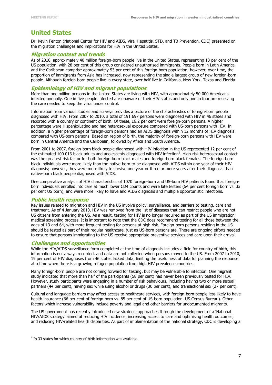### <span id="page-11-0"></span>**United States**

Dr. Kevin Fenton (National Center for HIV and AIDS, Viral Hepatitis, STD, and TB Prevention, CDC) presented on the migration challenges and implications for HIV in the United States.

#### **Migration context and trends**

As of 2010, approximately 40 million foreign-born people live in the United States, representing 13 per cent of the US population, with 28 per cent of this group considered unauthorised immigrants. People born in Latin America and the Caribbean comprise approximately 53 per cent of this foreign-born population; however, over time, the proportion of immigrants from Asia has increased, now representing the single largest group of new foreign-born people. Although foreign-born people live in every state, over half live in California, New York, Texas and Florida.

#### **Epidemiology of HIV and migrant populations**

More than one million persons in the United States are living with HIV, with approximately 50 000 Americans infected annually. One in five people infected are unaware of their HIV status and only one in four are receiving the care needed to keep the virus under control.

Information from various studies and surveys provides a picture of the characteristics of foreign-born people diagnosed with HIV. From 2007 to 2010, a total of 191 697 persons were diagnosed with HIV in 46 states and reported with a country or continent of birth. Of these, 16.2 per cent were foreign-born persons. A higher percentage were Hispanic/Latino and had heterosexual exposure compared with US-born persons with HIV. In addition, a higher percentage of foreign-born persons had an AIDS diagnosis within 12 months of HIV diagnosis compared with US-born persons. Based on region of birth, the majority of foreign-born persons with HIV were born in Central America and the Caribbean, followed by Africa and South America.

From 2001 to 2007, foreign-born black people diagnosed with HIV infection in the US represented 12 per cent of the estimated 100 013 black adults and adolescents diagnosed with HIV infection<sup>1</sup>. High-risk heterosexual contact was the greatest risk factor for both foreign-born black males and foreign-born black females. The foreign-born black individuals were more likely than the native-born to be diagnosed with AIDS within one year of their HIV diagnosis; however, they were more likely to survive one year or three or more years after their diagnosis than native-born black people diagnosed with AIDS.

One comparative analysis of HIV characteristics of 1070 foreign-born and US-born HIV patients found that foreignborn individuals enrolled into care at much lower CD4 counts and were late testers (54 per cent foreign born vs. 33 per cent US born), and were more likely to have and AIDS diagnosis and multiple opportunistic infections.

#### **Public health response**

Key issues related to migration and HIV in the US involve policy, surveillance, and barriers to testing, care and treatment. As of 4 January 2010, HIV was removed from the list of diseases that can restrict people who are not US citizens from entering the US. As a result, testing for HIV is no longer required as part of the US immigration medical screening process. It is important to note that the CDC does recommend testing for all those between the ages of 13 and 64, with more frequent testing for persons at high risk. Foreign-born persons residing in the US should be tested as part of their regular healthcare, just as US-born persons are. There are ongoing efforts needed to ensure that persons immigrating to the US receive appropriate preventive services and care upon their arrival.

#### **Challenges and opportunities**

While the HIV/AIDS surveillance form completed at the time of diagnosis includes a field for country of birth, this information is not always recorded, and data are not collected when persons moved to the US. From 2007 to 2010, 19 per cent of HIV diagnoses from 46 states lacked data, limiting the usefulness of data for planning the response at a time when there is a growing refugee population from high HIV prevalence countries.

Many foreign-born people are not coming forward for testing, but may be vulnerable to infection. One migrant study indicated that more than half of the participants (58 per cent) had never been previously tested for HIV. However, study participants were engaging in a number of risk behaviours, including having two or more sexual partners (44 per cent), having sex while using alcohol or drugs (30 per cent), and transactional sex (27 per cent).

Cultural and language barriers may affect access to healthcare services, with foreign-born people less likely to have health insurance (66 per cent of foreign-born vs. 85 per cent of US-born population, US Census Bureau). Other factors which increase vulnerability include poverty and legal and other barriers for undocumented migrants.

The US government has recently introduced new strategic approaches through the development of a 'National HIV/AIDS strategy' aimed at reducing HIV incidence, increasing access to care and optimising health outcomes, and reducing HIV-related health disparities. As part of implementation of the national strategy, CDC is developing a

 1 In 33 states for which country-of-birth information was available.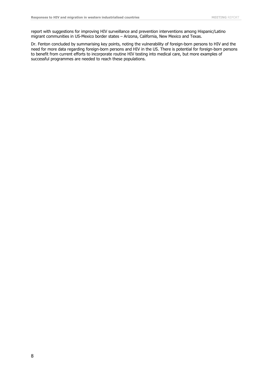report with suggestions for improving HIV surveillance and prevention interventions among Hispanic/Latino migrant communities in US-Mexico border states – Arizona, California, New Mexico and Texas.

<span id="page-12-0"></span>Dr. Fenton concluded by summarising key points, noting the vulnerability of foreign-born persons to HIV and the need for more data regarding foreign-born persons and HIV in the US. There is potential for foreign-born persons to benefit from current efforts to incorporate routine HIV testing into medical care, but more examples of successful programmes are needed to reach these populations.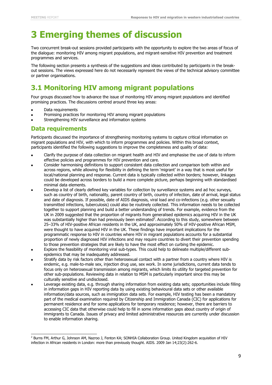## **3 Emerging themes of discussion**

Two concurrent break-out sessions provided participants with the opportunity to explore the two areas of focus of the dialogue: monitoring HIV among migrant populations, and migrant-sensitive HIV prevention and treatment programmes and services.

The following section presents a synthesis of the suggestions and ideas contributed by participants in the breakout sessions. The views expressed here do not necessarily represent the views of the technical advisory committee or partner organisations.

## <span id="page-13-0"></span>**3.1 Monitoring HIV among migrant populations**

Four groups discussed how to advance the issue of monitoring HIV among migrant populations and identified promising practices. The discussions centred around three key areas:

Data requirements

j

- Promising practices for monitoring HIV among migrant populations
- Strengthening HIV surveillance and information systems

#### <span id="page-13-1"></span>**Data requirements**

Participants discussed the importance of strengthening monitoring systems to capture critical information on migrant populations and HIV, with which to inform programmes and policies. Within this broad context, participants identified the following suggestions to improve the completeness and quality of data:

- Clarify the purpose of data collection on migrant health and HIV and emphasise the use of data to inform effective policies and programmes for HIV prevention and care.
- Consider harmonising definitions to support consistent data collection and comparison both within and across regions, while allowing for flexibility in defining the term 'migrant' in a way that is most useful for local/national planning and response. Current data is typically collected within borders; however, linkages could be developed across borders to build a more complete picture, perhaps beginning with standardised minimal data elements.
- Develop a list of clearly defined key variables for collection by surveillance systems and ad hoc surveys, such as country of birth, nationality, parent country of birth, country of infection, date of arrival, legal status and date of diagnosis. If possible, date of AIDS diagnosis, viral load and co-infections (e.g. other sexually transmitted infections, tuberculosis) could also be routinely collected. This information needs to be collected together to support planning and build a better understanding of trends. For example, evidence from the UK in 2009 suggested that the proportion of migrants from generalised epidemics acquiring HIV in the UK was substantially higher than had previously been estimated<sup>2</sup>. According to this study, somewhere between 25–33% of HIV-positive African residents in the UK, and approximately 50% of HIV-positive African MSM, were thought to have acquired HIV in the UK. These findings have important implications for the programmatic response to HIV in countries where HIV in migrant populations accounts for a substantial proportion of newly diagnosed HIV infections and may require countries to divert their prevention spending to those prevention strategies that are likely to have the most effect on curbing the epidemic.
- Explore the feasibility of monitoring viral sub-types. This could help to delineate multiple/different subepidemics that may be inadequately addressed.
- Stratify data by risk factors other than heterosexual contact with a partner from a country where HIV is endemic, e.g. male-to-male sex, injection drug use, sex work. In some jurisdictions, current data tends to focus only on heterosexual transmission among migrants, which limits its utility for targeted prevention for other sub-populations. Reviewing data in relation to MSM is particularly important since this may be culturally sensitive and undisclosed.
- Leverage existing data, e.g. through sharing information from existing data sets; opportunities include filling in information gaps in HIV reporting data by using existing behavioural data sets or other available information/data sources, such as immigration data sets. For example, HIV testing has been a mandatory part of the medical examination required by Citizenship and Immigration Canada (CIC) for applications for permanent residence and for some applications for temporary residence; however, there are barriers to accessing CIC data that otherwise could help to fill in some information gaps about country of origin of immigrants to Canada. Issues of privacy and limited administrative resources are currently under discussion to enable information sharing.

<sup>&</sup>lt;sup>2</sup> Burns FM, Arthur G, Johnson AM, Nazroo J, Fenton KA; SONHIA Collaboration Group. United Kingdom acquisition of HIV infection in African residents in London: more than previously thought. AIDS. 2009 Jan 14;23(2):262-6.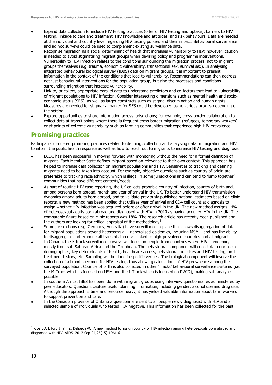- Expand data collection to include HIV testing practices (offer of HIV testing and uptake), barriers to HIV testing, linkage to care and treatment, HIV knowledge and attitudes, and risk behaviours. Data are needed at the individual and country level regarding HIV testing policies and their impact. Behavioural surveillance and ad hoc surveys could be used to complement existing surveillance data.
- Recognise migration as a social determinant of health that increases vulnerability to HIV; however, caution is needed to avoid stigmatising migrant groups when devising policy and programme interventions. Vulnerability to HIV infection relates to the conditions surrounding the migration process, not to migrant groups themselves (e.g. trauma, economic vulnerability, transactional sex, survival sex). In analysing integrated behavioural biological survey (IBBS) data on migrant groups, it is important to present information in the context of the conditions that lead to vulnerability. Recommendations can then address not just behavioural interventions for the population group, but also the processes and conditions surrounding migration that increase vulnerability.
- Link to, or collect, appropriate parallel data to understand predictors and co-factors that lead to vulnerability of migrant populations to HIV infection. Consider intersecting dimensions such as mental health and socioeconomic status (SES), as well as larger constructs such as stigma, discrimination and human rights. Measures are needed for stigma: a marker for SES could be developed using various proxies depending on the setting.
- Explore opportunities to share information across jurisdictions; for example, cross-border collaboration to collect data at transit points where there is frequent cross-border migration (refugees, temporary workers), or at points of extreme vulnerability such as farming communities that experience high HIV prevalence.

#### <span id="page-14-0"></span>**Promising practices**

Participants discussed promising practices related to defining, collecting and analysing data on migration and HIV to inform the public health response as well as how to reach out to migrants to increase HIV testing and diagnosis.

- ECDC has been successful in moving forward with monitoring without the need for a formal definition of migrant. Each Member State defines migrant based on relevance to their own context. This approach has helped to increase data collection on migrant populations and HIV. Sensitivities to tracking and defining migrants need to be taken into account. For example, objective questions such as country of origin are preferable to tracking race/ethnicity, which is illegal in some jurisdictions and can tend to 'lump together' communities that have different contexts/needs.
- As part of routine HIV case reporting, the UK collects probable country of infection, country of birth and, among persons born abroad, month and year of arrival in the UK. To better understand HIV transmission dynamics among adults born abroad, and to validate previously published national estimates based on clinic reports, a new method has been applied that utilises year of arrival and CD4 cell count at diagnosis to assign whether HIV infection was acquired before or after arrival in the UK. The new method assigns 44% of heterosexual adults born abroad and diagnosed with HIV in 2010 as having acquired HIV in the UK. The comparable figure based on clinic reports was 18%. The research article has recently been published and the authors are looking for critical appraisal of the methodology<sup>3</sup>.
- Some jurisdictions (e.g. Germany, Australia) have surveillance in place that allows disaggregation of data for migrant populations beyond heterosexual – generalised epidemics, including MSM – and has the ability to disaggregate and examine all transmission risks linked to high-prevalence countries and all migrants.
- In Canada, the E-track surveillance surveys will focus on people from countries where HIV is endemic, mostly from sub-Saharan Africa and the Caribbean. The behavioural component will collect data on: sociodemographics, key determinants of health, healthcare access, behavioural practices and HIV testing, and treatment history, etc. Sampling will be done in specific venues. The biological component will involve the collection of a blood specimen for HIV testing, thus allowing calculations of HIV prevalence among the surveyed population. Country of birth is also collected in other 'Tracks' behavioural surveillance systems (i.e. the M-Track which is focused on MSM and the I-Track which is focused on PWID), making sub-analyses possible.
- In southern Africa, IBBS has been done with migrant groups using interview questionnaires administered by peer educators. Questions capture useful planning information, including gender, alcohol use and drug use. Although the approach is time and resource heavy, it has yielded valuable information about farm workers to support prevention and care.
- In the Canadian province of Ontario a questionnaire sent to all people newly diagnosed with HIV and a selected sample of individuals who tested HIV negative. This information has been collected for the past

i, <sup>3</sup> Rice BD, Elford J, Yin Z, Delpech VC. A new method to assign country of HIV infection among heterosexuals born abroad and diagnosed with HIV. AIDS. 2012 Sep 24;26(15):1961-6.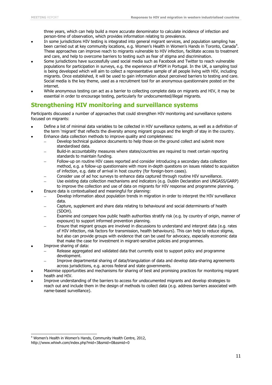three years, which can help build a more accurate denominator to calculate incidence of infection and person-time of observation, which provides information relating to prevalence.

- In some jurisdictions HIV testing is integrated into general migrant services, and population sampling has been carried out at key community locations, e.g. Women's Health in Women's Hands in Toronto, Canada<sup>4</sup>. These approaches can improve reach to migrants vulnerable to HIV infection, facilitate access to treatment and care, and help to overcome barriers to testing such as fear of stigma and discrimination.
- Some jurisdictions have successfully used social media such as Facebook and Twitter to reach vulnerable populations for participation in surveys, e.g. the experience of MSM in Portugal. In the UK, a sampling tool is being developed which will aim to collect a representative sample of all people living with HIV, including migrants. Once established, it will be used to gain information about perceived barriers to testing and care. Social media is the key theme, used as a recruitment tool for an anonymous questionnaire posted on the internet.
- While anonymous testing can act as a barrier to collecting complete data on migrants and HIV, it may be essential in order to encourage testing, particularly for undocumented/illegal migrants.

### <span id="page-15-0"></span>**Strengthening HIV monitoring and surveillance systems**

Participants discussed a number of approaches that could strengthen HIV monitoring and surveillance systems focused on migrants:

- Define a list of minimal data variables to be collected in HIV surveillance systems, as well as a definition of the term 'migrant' that reflects the diversity among migrant groups and the length of stay in the country.
	- Enhance data collection methods to improve quality and completeness: Develop technical guidance documents to help those on the ground collect and submit more
		- standardised data. Build-in accountability measures where states/countries are required to meet certain reporting
		- standards to maintain funding.
		- Follow-up on routine HIV cases reported and consider introducing a secondary data collection method, e.g. a follow-up questionnaire with more in-depth questions on issues related to acquisition of infection, e.g. date of arrival in host country (for foreign-born cases).
		- Consider use of ad hoc surveys to enhance data captured through routine HIV surveillance.
	- Use existing data collection mechanisms and indicators (e.g. Dublin Declaration and UNGASS/GARP) to improve the collection and use of data on migrants for HIV response and programme planning.
- Ensure data is contextualised and meaningful for planning:
	- Develop information about population trends in migration in order to interpret the HIV surveillance data.
		- Capture, supplement and share data relating to behavioural and social determinants of health (SDOH).
		- Examine and compare how public health authorities stratify risk (e.g. by country of origin, manner of exposure) to support informed prevention planning.
		- Ensure that migrant groups are involved in discussions to understand and interpret data (e.g. rates of HIV infection, risk factors for transmission, health behaviours). This can help to reduce stigma, but also can provide groups with evidence that can be used for advocacy, especially economic data that make the case for investment in migrant-sensitive policies and programmes.
- Improve sharing of data:

j

- Release aggregated and validated data that currently exist to support policy and programme development.
- Improve departmental sharing of data/triangulation of data and develop data-sharing agreements across jurisdictions, e.g. across federal and state governments.
- Maximise opportunities and mechanisms for sharing of best and promising practices for monitoring migrant health and HIV.
- Improve understanding of the barriers to access for undocumented migrants and develop strategies to reach out and include them in the design of methods to collect data (e.g. address barriers associated with name-based surveillance).

<sup>4</sup> Women's Health in Women's Hands, Community Health Centre, 2012,

http://www.whiwh.com/index.php?mid=3&smid=0&ssmid=0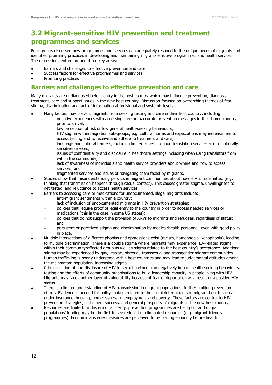### <span id="page-16-0"></span>**3.2 Migrant-sensitive HIV prevention and treatment programmes and services**

Four groups discussed how programmes and services can adequately respond to the unique needs of migrants and identified promising practices in developing and maintaining migrant-sensitive programmes and health services. The discussion centred around three key areas:

- Barriers and challenges to effective prevention and care
- Success factors for effective programmes and services
- Promising practices

#### <span id="page-16-1"></span>**Barriers and challenges to effective prevention and care**

Many migrants are undiagnosed before entry in the host country which may influence prevention, diagnosis, treatment, care and support issues in the new host country. Discussion focused on overarching themes of fear, stigma, discrimination and lack of information at individual and systemic levels.

- Many factors may prevent migrants from seeking testing and care in their host country, including:
	- negative experiences with accessing care or inaccurate prevention messages in their home country prior to arrival;
	- low perception of risk or low general health-seeking behaviours;
	- HIV stigma within migration sub-groups, e.g. cultural norms and expectations may increase fear to access testing and to receive and adhere to treatment and care;
	- language and cultural barriers, including limited access to good translation services and to culturally sensitive services;
	- issues of confidentiality and disclosure in healthcare settings including when using translators from within the community;
	- lack of awareness of individuals and health service providers about where and how to access services; and
	- fragmented services and issues of navigating them faced by migrants.
- Studies show that misunderstanding persists in migrant communities about how HIV is transmitted (e.g. thinking that transmission happens through casual contact). This causes greater stigma, unwillingness to get tested, and reluctance to access health services.
- Barriers to accessing care or medications for undocumented, illegal migrants include:
	- anti-migrant sentiments within a country;
		- lack of inclusion of undocumented migrants in HIV prevention strategies;  $\overline{a}$
		- policies that require proof of legal entry to the country in order to access needed services or medications (this is the case in some US states);
		- policies that do not support the provision of ARVs to migrants and refugees, regardless of status; and
		- persistent or perceived stigma and discrimination by medical/health personnel, even with good policy in place.
- Multiple intersections of different phobias and oppressions exist (racism, homophobia, xenophobia), leading to multiple discrimination. There is a double stigma where migrants may experience HIV-related stigma within their community/affected group as well as stigma related to the host country's acceptance. Additional stigma may be experienced by gay, lesbian, bisexual, transsexual and transgender migrant communities. Human trafficking is poorly understood within host countries and may lead to judgemental attitudes among the mainstream population, increasing stigma.
- Criminalisation of non-disclosure of HIV to sexual partners can negatively impact health-seeking behaviours, testing and the efforts of community organisations to build leadership capacity in people living with HIV. Migrants may face another layer of vulnerability because of fear of deportation as a result of a positive HIV status.
- There is a limited understanding of HIV transmission in migrant populations, further limiting prevention efforts. Evidence is needed for policy-makers related to the social determinants of migrant health such as under-insurance, housing, homelessness, unemployment and poverty. These factors are central to HIV prevention strategies, settlement success, and general prosperity of migrants in the new host country.
- Resources are limited. In this era of austerity, prevention programmes are being cut and migrant populations' funding may be the first to see reduced or eliminated resources (e.g. migrant-friendly programmes). Economic austerity measures are perceived to be placing economy before health.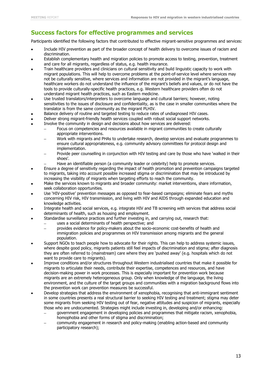### <span id="page-17-0"></span>**Success factors for effective programmes and services**

Participants identified the following factors that contributed to effective migrant-sensitive programmes and services:

- Include HIV prevention as part of the broader concept of health delivery to overcome issues of racism and discrimination.
- Establish complementary health and migration policies to promote access to testing, prevention, treatment and care for all migrants, regardless of status, e.g. health insurance.
- Train healthcare providers and clinicians on cultural sensitivity and build linguistic capacity to work with migrant populations. This will help to overcome problems at the point-of-service level where services may not be culturally sensitive, where services and information are not provided in the migrant's language, healthcare workers do not understand the influence of the migrant's beliefs and values, or do not have the tools to provide culturally-specific health practices, e.g. Western healthcare providers often do not understand migrant health practices, such as Eastern medicine.
- Use trusted translators/interpreters to overcome language and cultural barriers; however, noting sensitivities to the issues of disclosure and confidentiality, as is the case in smaller communities where the translator is from the same community as the migrant PLHIV.
- Balance delivery of routine and targeted testing to reduce rates of undiagnosed HIV cases.
- Deliver strong migrant-friendly health services coupled with robust social support networks.
- Involve the community in design and decisions about how services are delivered:
	- Focus on competencies and resources available in migrant communities to create culturally appropriate interventions.
	- Work with migrants and PHAs to undertake research, develop services and evaluate programmes to ensure cultural appropriateness, e.g. community advisory committees for protocol design and implementation.
	- Provide peer counselling in conjunction with HIV testing and care by those who have 'walked in their shoes'.
		- Have an identifiable person (a community leader or celebrity) help to promote services.
- Ensure a degree of sensitivity regarding the impact of health promotion and prevention campaigns targeted to migrants, taking into account possible increased stigma or discrimination that may be introduced by increasing the visibility of migrants when targeting efforts to reach the community.
- Make the services known to migrants and broader community: market interventions, share information, seek collaboration opportunities.
- Use 'HIV-positive' prevention messages as opposed to fear-based campaigns; eliminate fears and myths concerning HIV risk, HIV transmission, and living with HIV and AIDS through expanded education and knowledge activities.
- Integrate health and social services, e.g. integrate HIV and TB screening with services that address social determinants of health, such as housing and employment.
- Standardise surveillance practices and further investing in, and carrying out, research that:
	- uses a social determinants of health perspective; and
	- provides evidence for policy-makers about the socio-economic cost-benefits of health and immigration policies and programmes on HIV transmission among migrants and the general population.
- Support NGOs to teach people how to advocate for their rights. This can help to address systemic issues, where despite good policy, migrants patients still feel impacts of discrimination and stigma; after diagnosis they are often referred to (mainstream) care where they are 'pushed away' (e.g. hospitals which do not want to provide care to migrants).
- Improve conditions and/or structures throughout Western industrialised countries that make it possible for migrants to articulate their needs, contribute their expertise, competences and resources, and have decision-making power in work processes. This is especially important for prevention work because migrants are an extremely heterogeneous group. Only when knowledge of the language, the living environment, and the culture of the target groups and communities with a migration background flows into the prevention work can prevention measures be successful.
- Develop strategies that address the environment of xenophobia, recognising that anti-immigrant sentiment in some countries presents a real structural barrier to seeking HIV testing and treatment; stigma may deter some migrants from seeking HIV testing out of fear, negative attitudes and suspicion of migrants, especially those who are undocumented. Strategies might include investing in, developing and/or enhancing:
	- government engagement in developing policies and programmes that mitigate racism, xenophobia, homophobia and other forms of stigma and discrimination;
	- community engagement in research and policy-making (enabling action-based and community participatory research);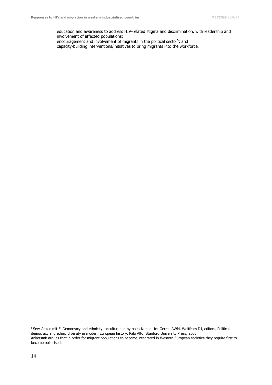- education and awareness to address HIV-related stigma and discrimination, with leadership and  $\equiv$ involvement of affected populations;
- encouragement and involvement of migrants in the political sector<sup>5</sup>; and  $\equiv$
- capacity-building interventions/initiatives to bring migrants into the workforce.

 5 See: Ankersmit F. Democracy and ethnicity: acculturation by politicization. In: Gerrits AWM, Wolffram DJ, editors. Political democracy and ethnic diversity in modern European history. Palo Alto: Stanford University Press; 2005.

Ankersmit argues that in order for migrant populations to become integrated in Western European societies they require first to become politicised.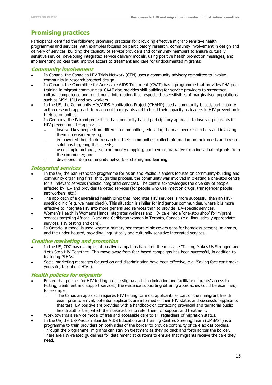### <span id="page-19-0"></span>**Promising practices**

Participants identified the following promising practices for providing effective migrant-sensitive health programmes and services, with examples focused on participatory research, community involvement in design and delivery of services, building the capacity of service providers and community members to ensure culturally sensitive service, developing integrated service delivery models, using positive health promotion messages, and implementing policies that improve access to treatment and care for undocumented migrants:

#### **Community involvement**

- In Canada, the Canadian HIV Trials Network (CTN) uses a community advisory committee to involve community in research protocol design.
- In Canada, the Committee for Accessible AIDS Treatment (CAAT) has a programme that provides PHA peer training in migrant communities. CAAT also provides skill-building for service providers to strengthen cultural competence and multilingual information that respects the sensitivities of marginalised populations such as MSM, IDU and sex workers.
- In the US, the Community HIV/AIDS Mobilization Project (CHAMP) used a community-based, participatory action research approach to reach out to migrants and to build their capacity as leaders in HIV prevention in their communities.
- In Germany, the Pakomi project used a community-based participatory approach to involving migrants in HIV prevention. The approach:
	- involved key people from different communities, educating them as peer researchers and involving them in decision-making;
	- empowered them to do research in their communities, collect information on their needs and create solutions targeting their needs;
	- used simple methods, e.g. community mapping, photo voice, narrative from individual migrants from the community; and
	- developed into a community network of sharing and learning.

#### **Integrated services**

- In the US, the San Francisco programme for Asian and Pacific Islanders focuses on community-building and community organising first; through this process, the community was involved in creating a one-stop centre for all relevant services (holistic integrated services). The centre acknowledges the diversity of people affected by HIV and provides targeted services (for people who use injection drugs, transgender people, sex workers, etc.).
- The approach of a generalised health clinic that integrates HIV services is more successful than an HIVspecific clinic (e.g. wellness check). This situation is similar for indigenous communities, where it is more effective to integrate HIV into more generalised services than to provide HIV-specific services.
- Women's Health in Women's Hands integrates wellness and HIV care into a 'one-stop shop' for migrant services targeting African, Black and Caribbean women in Toronto, Canada (e.g. linguistically appropriate services, HIV testing and care).
- In Ontario, a model is used where a primary healthcare clinic covers gaps for homeless persons, migrants, and the under-housed, providing linguistically and culturally sensitive integrated services.

#### **Creative marketing and promotion**

- In the US, CDC has examples of positive campaigns based on the message 'Testing Makes Us Stronger' and 'Let's Stop HIV Together'. This move away from fear-based campaigns has been successful, in addition to featuring PLHAs.
- Social marketing messages focused on anti-discrimination have been effective, e.g. 'Saving face can't make you safe; talk about HIV.').

#### **Health policies for migrants**

- Ensure that policies for HIV testing reduce stigma and discrimination and facilitate migrants' access to testing, treatment and support services; the evidence supporting differing approaches could be examined, for example:
	- The Canadian approach requires HIV testing for most applicants as part of the immigrant health exam prior to arrival; potential applicants are informed of their HIV status and successful applicants that test HIV positive are provided with a handbook on contacting provincial and territorial public health authorities, which then take action to refer them for support and treatment.
- Work towards a service model of free and accessible care to all, regardless of migration status.
- In the US, the US/Mexican Boarder AIDS Education and Training Centres Steering Team (UMBAST) is a programme to train providers on both sides of the border to provide continuity of care across borders. Through the programme, migrants can stay on treatment as they go back and forth across the border. There are HIV-related guidelines for detainment at customs to ensure that migrants receive the care they need.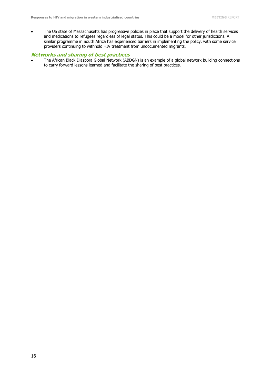The US state of Massachusetts has progressive policies in place that support the delivery of health services and medications to refugees regardless of legal status. This could be a model for other jurisdictions. A similar programme in South Africa has experienced barriers in implementing the policy, with some service providers continuing to withhold HIV treatment from undocumented migrants.

#### **Networks and sharing of best practices**

The African Black Diaspora Global Network (ABDGN) is an example of a global network building connections to carry forward lessons learned and facilitate the sharing of best practices.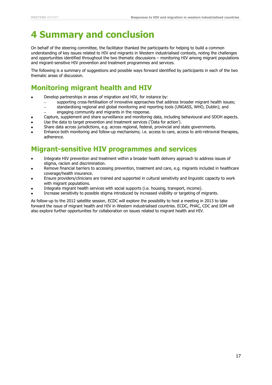## <span id="page-21-0"></span>**4 Summary and conclusion**

On behalf of the steering committee, the facilitator thanked the participants for helping to build a common understanding of key issues related to HIV and migrants in Western industrialised contexts, noting the challenges and opportunities identified throughout the two thematic discussions – monitoring HIV among migrant populations and migrant-sensitive HIV prevention and treatment programmes and services.

The following is a summary of suggestions and possible ways forward identified by participants in each of the two thematic areas of discussion.

### <span id="page-21-1"></span>**Monitoring migrant health and HIV**

- Develop partnerships in areas of migration and HIV, for instance by:
	- supporting cross-fertilisation of innovative approaches that address broader migrant health issues;
	- standardising regional and global monitoring and reporting tools (UNGASS, WHO, Dublin); and
		- engaging community and migrants in the response.
- Capture, supplement and share surveillance and monitoring data, including behavioural and SDOH aspects.
- Use the data to target prevention and treatment services ('Data for action').
- Share data across jurisdictions, e.g. across regional, federal, provincial and state governments.
- Enhance both monitoring and follow-up mechanisms; i.e. access to care, access to anti-retroviral therapies, adherence.

### <span id="page-21-2"></span>**Migrant-sensitive HIV programmes and services**

- Integrate HIV prevention and treatment within a broader health delivery approach to address issues of stigma, racism and discrimination.
- Remove financial barriers to accessing prevention, treatment and care, e.g. migrants included in healthcare coverage/health insurance.
- Ensure providers/clinicians are trained and supported in cultural sensitivity and linguistic capacity to work with migrant populations.
- Integrate migrant health services with social supports (i.e. housing, transport, income).
- Increase sensitivity to possible stigma introduced by increased visibility or targeting of migrants.

As follow-up to the 2012 satellite session, ECDC will explore the possibility to host a meeting in 2013 to take forward the issue of migrant health and HIV in Western industrialised countries. ECDC, PHAC, CDC and IOM will also explore further opportunities for collaboration on issues related to migrant health and HIV.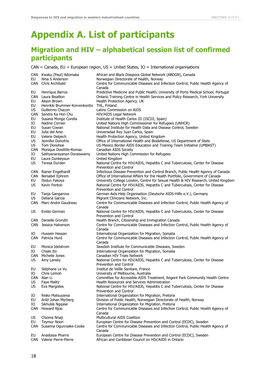## <span id="page-22-0"></span>**Appendix A. List of participants**

## **Migration and HIV – alphabetical session list of confirmed participants**

 $CAN = Canada, EU = European region, US = United States, IO = International organizations$ 

| EU                           | CAN Kwaku (Paul) Adomaka<br>Nina S Anderson<br>CAN Chris Archibald                                      | African and Black Diaspora Global Network (ABDGN), Canada<br>Norwegian Directorate of Health, Norway<br>Centre for Communicable Diseases and Infection Control, Public Health Agency of                                                                       |
|------------------------------|---------------------------------------------------------------------------------------------------------|---------------------------------------------------------------------------------------------------------------------------------------------------------------------------------------------------------------------------------------------------------------|
| EU<br>CAN<br>EU<br>EU<br>US. | Henrique Barros<br>Laura Bisallion<br>Alison Brown<br>Henrikki Brummer-Korvenkontio<br>Guillermo Chacon | Canada<br>Predictive Medicine and Public Health, University of Porto Medical School, Portugal<br>Ontario Training Centre in Health Services and Policy Research, York University<br>Health Protection Agency, UK<br>THL, Finland<br>Latino Commission on AIDS |
| <b>CAN</b>                   | Sandra Ka Hon Chu                                                                                       | HIV/AIDS Legal Network                                                                                                                                                                                                                                        |
| EU                           | Susana Monge Corella                                                                                    | Institute of Health Carlos III (ISCIII, Spain)                                                                                                                                                                                                                |
| IО                           | Nadine Cornier                                                                                          | United Nations High Commissioner for Refugees (UNHCR)                                                                                                                                                                                                         |
| EU                           | Susan Cowan                                                                                             | National Institute for Health Data and Disease Control, Sweden                                                                                                                                                                                                |
| EU<br>EU                     | Julia del Amo<br>Valerie Delpech                                                                        | Universidad Rey Juan Carlos, Spain<br>Health Protection Agency, United Kingdom                                                                                                                                                                                |
| US                           | Jennifer Donofrio                                                                                       | Office of International Health and Biodefense, US Department of State                                                                                                                                                                                         |
| US                           | Tom Donohoe                                                                                             | US-Mexico Border AIDS Education and Training Team Initiative (UMBAST)                                                                                                                                                                                         |
| <b>CAN</b>                   | Monique Doolittle-Romas                                                                                 | Canadian AIDS Society                                                                                                                                                                                                                                         |
| IО                           | Sathyanarayanan Doraiswamy                                                                              | United Nations High Commission for Refugees                                                                                                                                                                                                                   |
| EU<br>US                     | Laura Dunkeysun<br>Teresa Durden                                                                        | United Kingdom<br>National Centre for HIV/AIDS, Hepatitis C and Tuberculosis, Center for Disease                                                                                                                                                              |
|                              |                                                                                                         | Prevention and Control                                                                                                                                                                                                                                        |
| CAN                          | Rainer Engelhardt                                                                                       | Infectious Disease Prevention and Control Branch, Public Health Agency of Canada                                                                                                                                                                              |
| CAN                          | Bersabel Ephrem                                                                                         | Office of International Affairs for the Health Portfolio, Government of Canada                                                                                                                                                                                |
| EU<br>US                     | Ibidun Fakoya<br>Kevin Fenton                                                                           | University College London, Centre for Sexual Health & HIV Research, United Kingdom                                                                                                                                                                            |
|                              |                                                                                                         | National Centre for HIV/AIDS, Hepatitis C and Tuberculosis, Center for Disease<br>Prevention and Control                                                                                                                                                      |
| EU                           | Tanja Gangarova                                                                                         | German Aids-Help Organisation (Deutsche AIDS-Hilfe e.V.), Germany                                                                                                                                                                                             |
| <b>US</b>                    | Deliana Garcia                                                                                          | Migrant Clinicians Network, Inc.                                                                                                                                                                                                                              |
| <b>CAN</b>                   | Marc-Andre Gaudreau                                                                                     | Centre for Communicable Diseases and Infection Control, Public Health Agency of                                                                                                                                                                               |
| US.                          | Emilio German                                                                                           | Canada<br>National Centre for HIV/AIDS, Hepatitis C and Tuberculosis, Center for Disease<br>Prevention and Control                                                                                                                                            |
| CAN                          | Danielle Grondin                                                                                        | Health Branch, Citizenship and Immigration Canada                                                                                                                                                                                                             |
| <b>CAN</b>                   | Jessica Halverson                                                                                       | Centre for Communicable Diseases and Infection Control, Public Health Agency of<br>Canada                                                                                                                                                                     |
| IО<br><b>CAN</b>             | Hussein Hassan<br>Patricia Hurd                                                                         | International Organization for Migration, Somalia                                                                                                                                                                                                             |
|                              |                                                                                                         | Centre for Communicable Diseases and Infection Control, Public Health Agency of<br>Canada                                                                                                                                                                     |
| EU                           | Monica Idelstrom                                                                                        | Swedish Institute for Communicable Diseases, Sweden                                                                                                                                                                                                           |
| IО                           | Chiaki Ito                                                                                              | International Organization for Migration, Somalia                                                                                                                                                                                                             |
| <b>CAN</b>                   | Michelle Jones                                                                                          | Canadian HIV Trials Network                                                                                                                                                                                                                                   |
| US                           | Amy Lansky                                                                                              | National Centre for HIV/AIDS, Hepatitis C and Tuberculosis, Center for Disease<br><b>Prevention and Control</b>                                                                                                                                               |
| EU                           | Stéphane Le Vu                                                                                          | Institut de Veille Sanitare, France                                                                                                                                                                                                                           |
| IO                           | Chris Lemoh                                                                                             | University of Melbourne, Australia                                                                                                                                                                                                                            |
|                              | CAN Alan Li                                                                                             | Committee for Accessible AIDS Treatment, Regent Park Community Health Centre                                                                                                                                                                                  |
| US.                          | <b>Faye Malitz</b>                                                                                      | Health Resources and Services Administration<br>National Centre for HIV/AIDS, Hepatitis C and Tuberculosis, Center for Disease                                                                                                                                |
| US.                          | Eva Margolies                                                                                           | Prevention and Control                                                                                                                                                                                                                                        |
| IО                           | Reiko Matsuyama                                                                                         | International Organization for Migration, Pretoria                                                                                                                                                                                                            |
| EU                           | Arild Johan Myrberg                                                                                     | Division of Public Health, Norwegian Directorate of Health, Norway                                                                                                                                                                                            |
| IО                           | Sikhulile Nggase                                                                                        | International Organization for Migration, Pretoria                                                                                                                                                                                                            |
| <b>CAN</b>                   | Howard Njoo                                                                                             | Centre for Communicable Diseases and Infection Control, Public Health Agency of                                                                                                                                                                               |
| US                           | Chioma Nnaji                                                                                            | Canada<br>Multicultural AIDS Coalition                                                                                                                                                                                                                        |
| EU                           | <b>Teymur Noori</b>                                                                                     | European Centre for Disease Prevention and Control (ECDC), Sweden                                                                                                                                                                                             |
| CAN                          | Susanna Ogunnaike-Cooke                                                                                 | Centre for Communicable Diseases and Infection Control, Public Health Agency of<br>Canada                                                                                                                                                                     |
| EU<br>CAN                    | Anastasia Pharris<br>Valerie Pierre-Pierre                                                              | European Centre for Disease Prevention and Control (ECDC), Sweden<br>African and Caribbean Council on HIV/AIDS in Ontario                                                                                                                                     |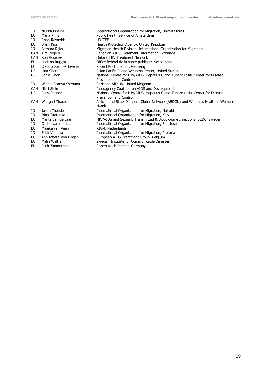| IО<br>EU<br>IO<br>EU<br>IО<br><b>CAN</b><br><b>CAN</b><br>EU<br>EU<br>US | Niurka Pineiro<br><b>Maria Prins</b><br>Rhon Reynolds<br><b>Brian Rice</b><br>Barbara Rijks<br>Tim Rogers<br>Ron Rosenes<br>Luciano Ruggia<br>Claudia Santos-Hövener<br>Lina Sheth | International Organization for Migration, United States<br>Public Health Service of Amsterdam<br><b>UNICEF</b><br>Health Protection Agency, United Kingdom<br>Migration Health Division, International Organization for Migration<br>Canadian AIDS Treatment Information Exchange<br><b>Ontario HIV Treatment Network</b><br>Office fédéral de la santé publique, Switzerland<br>Robert Koch Institut, Germany<br>Asian Pacific Island Wellness Center, United States |
|--------------------------------------------------------------------------|------------------------------------------------------------------------------------------------------------------------------------------------------------------------------------|-----------------------------------------------------------------------------------------------------------------------------------------------------------------------------------------------------------------------------------------------------------------------------------------------------------------------------------------------------------------------------------------------------------------------------------------------------------------------|
| US.                                                                      | Sonia Singh                                                                                                                                                                        | National Centre for HIV/AIDS, Hepatitis C and Tuberculosis, Center for Disease<br>Prevention and Control                                                                                                                                                                                                                                                                                                                                                              |
| IO                                                                       | Winnie Ssanyu Sseruma                                                                                                                                                              | Christian AID UK, United Kingdom                                                                                                                                                                                                                                                                                                                                                                                                                                      |
| <b>CAN</b>                                                               | Nicci Stein                                                                                                                                                                        | Interagency Coalition on AIDS and Development                                                                                                                                                                                                                                                                                                                                                                                                                         |
| US.                                                                      | <b>Riley Steiner</b>                                                                                                                                                               | National Centre for HIV/AIDS, Hepatitis C and Tuberculosis, Center for Disease<br>Prevention and Control                                                                                                                                                                                                                                                                                                                                                              |
| <b>CAN</b>                                                               | Wangari Tharao                                                                                                                                                                     | African and Black Diaspora Global Network (ABDGN) and Women's Health in Women's<br>Hands                                                                                                                                                                                                                                                                                                                                                                              |
| IО                                                                       | Jason Theede                                                                                                                                                                       | International Organization for Migration, Nairobi                                                                                                                                                                                                                                                                                                                                                                                                                     |
| IO                                                                       | Irina Titarenko                                                                                                                                                                    | International Organization for Migration, Kiev                                                                                                                                                                                                                                                                                                                                                                                                                        |
| EU                                                                       | Marita van de Laar                                                                                                                                                                 | HIV/AIDS and Sexually Transmitted & Blood-borne Infections, ECDC, Sweden                                                                                                                                                                                                                                                                                                                                                                                              |
| IО                                                                       | Carlos van der Laat                                                                                                                                                                | International Organization for Migration, San José                                                                                                                                                                                                                                                                                                                                                                                                                    |
| EU                                                                       | Maaike van Veen                                                                                                                                                                    | RIVM, Netherlands                                                                                                                                                                                                                                                                                                                                                                                                                                                     |
| IО                                                                       | Erick Ventura                                                                                                                                                                      | International Organization for Migration, Pretoria                                                                                                                                                                                                                                                                                                                                                                                                                    |
| EU                                                                       | Annisabelle Von Lingen                                                                                                                                                             | European AIDS Treatment Group, Belgium                                                                                                                                                                                                                                                                                                                                                                                                                                |
| EU                                                                       | Malin Wallin                                                                                                                                                                       | Swedish Institute for Communicable Diseases                                                                                                                                                                                                                                                                                                                                                                                                                           |
| EU                                                                       | Ruth Zimmerman                                                                                                                                                                     | Robert Koch Institut, Germany                                                                                                                                                                                                                                                                                                                                                                                                                                         |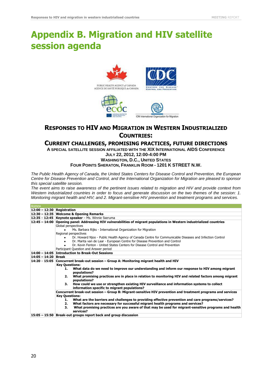## <span id="page-24-0"></span>**Appendix B. Migration and HIV satellite session agenda**







### **RESPONSES TO HIV AND MIGRATION IN WESTERN INDUSTRIALIZED COUNTRIES:**

#### **CURRENT CHALLENGES, PROMISING PRACTICES, FUTURE DIRECTIONS**

**A SPECIAL SATELLITE SESSION AFFILIATED WITH THE XIX INTERNATIONAL AIDS CONFERENCE JULY 22, 2012, 12:00-4:00 PM**

**WASHINGTON, D.C., UNITED STATES**

**FOUR POINTS SHERATON, FRANKLIN ROOM - 1201 K STREET N.W.**

*The Public Health Agency of Canada, the United States Centers for Disease Control and Prevention, the European Centre for Disease Prevention and Control, and the International Organization for Migration are pleased to sponsor this special satellite session.*

*The event aims to raise awareness of the pertinent issues related to migration and HIV and provide context from Western industrialized countries in order to focus and generate discussion on the two themes of the session: 1. Monitoring migrant health and HIV; and 2. Migrant-sensitive HIV prevention and treatment programs and services.*

| <b>AGENDA</b>                |                                                                                                                                                              |  |  |
|------------------------------|--------------------------------------------------------------------------------------------------------------------------------------------------------------|--|--|
| $12:00 - 12:30$ Registration |                                                                                                                                                              |  |  |
|                              | 12:30 - 12:35 Welcome & Opening Remarks                                                                                                                      |  |  |
|                              | 12:35 - 12:45 Keynote speaker - Ms. Winnie Sseruma                                                                                                           |  |  |
|                              | 12:45 - 14:00 Opening panel: Addressing HIV vulnerabilities of migrant populations in Western industrialized countries                                       |  |  |
|                              | Global perspectives                                                                                                                                          |  |  |
|                              | Ms. Barbara Rijks - International Organization for Migration                                                                                                 |  |  |
|                              | Regional perspectives                                                                                                                                        |  |  |
|                              | Dr. Howard Njoo - Public Health Agency of Canada Centre for Communicable Diseases and Infection Control                                                      |  |  |
|                              | Dr. Marita van de Laar - European Centre for Disease Prevention and Control<br>$\bullet$                                                                     |  |  |
|                              | Dr. Kevin Fenton - United States Centers for Disease Control and Prevention                                                                                  |  |  |
|                              | Participant Question and Answer period                                                                                                                       |  |  |
|                              | 14:00 - 14:05 Introduction to Break-Out Sessions                                                                                                             |  |  |
| 14:05 - 14:20 Break          |                                                                                                                                                              |  |  |
|                              | 14:20 - 15:05 Concurrent break-out session - Group A: Monitoring migrant health and HIV                                                                      |  |  |
|                              | <b>Key Questions:</b>                                                                                                                                        |  |  |
|                              | What data do we need to improve our understanding and inform our response to HIV among migrant<br>1.                                                         |  |  |
|                              | populations?                                                                                                                                                 |  |  |
|                              | What promising practices are in place in relation to monitoring HIV and related factors among migrant<br>2.                                                  |  |  |
|                              | populations?                                                                                                                                                 |  |  |
|                              | 3.<br>How could we use or strengthen existing HIV surveillance and information systems to collect                                                            |  |  |
|                              | information specific to migrant populations?<br>Concurrent break-out session – Group B: Migrant-sensitive HIV prevention and treatment programs and services |  |  |
|                              |                                                                                                                                                              |  |  |
|                              | <b>Key Questions:</b><br>What are the barriers and challenges to providing effective prevention and care programs/services?<br>1.                            |  |  |
|                              | What factors are necessary for successful migrant health programs and services?<br>2.                                                                        |  |  |
|                              | What promising practices are you aware of that may be used for migrant-sensitive programs and health<br>З.                                                   |  |  |
|                              | services?                                                                                                                                                    |  |  |
|                              | 15:05 – 15:50 Break-out groups report back and group discussion                                                                                              |  |  |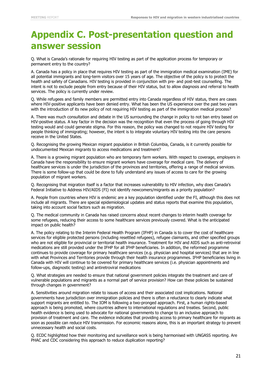## <span id="page-25-0"></span>**Appendix C. Post-presentation question and answer session**

Q. What is Canada's rationale for requiring HIV testing as part of the application process for temporary or permanent entry to the country?

A. Canada has a policy in place that requires HIV testing as part of the immigration medical examination (IME) for all potential immigrants and long-term visitors over 15 years of age. The objective of the policy is to protect the health and safety of Canadians. HIV testing is provided in conjunction with pre- and post-test counselling. The intent is not to exclude people from entry because of their HIV status, but to allow diagnosis and referral to health services. The policy is currently under review.

Q. While refugees and family members are permitted entry into Canada regardless of HIV status, there are cases where HIV-positive applicants have been denied entry. What has been the US experience over the past two years with the introduction of its new policy of not requiring HIV testing as part of the immigration medical process?

A. There was much consultation and debate in the US surrounding the change in policy to not ban entry based on HIV-positive status. A key factor in the decision was the recognition that even the process of going through HIV testing would and could generate stigma. For this reason, the policy was changed to not require HIV testing for people thinking of immigrating; however, the intent is to integrate voluntary HIV testing into the care persons receive in the United States.

Q. Recognising the growing Mexican migrant population in British Columbia, Canada, is it currently possible for undocumented Mexican migrants to access medications and treatment?

A. There is a growing migrant population who are temporary farm workers. With respect to coverage, employers in Canada have the responsibility to ensure migrant workers have coverage for medical care. The delivery of healthcare services is under the jurisdiction of the provinces and territories, offering a range of medical services. There is some follow-up that could be done to fully understand any issues of access to care for the growing population of migrant workers.

Q. Recognising that migration itself is a factor that increases vulnerability to HIV infection, why does Canada's Federal Initiative to Address HIV/AIDS (FI) not identify newcomers/migrants as a priority population?

A. People from countries where HIV is endemic are a key population identified under the FI, although this does not include all migrants. There are special epidemiological updates and status reports that examine this population, taking into account social factors such as migration.

Q. The medical community in Canada has raised concerns about recent changes to interim health coverage for some refugees, reducing their access to some healthcare services previously covered. What is the anticipated impact on public health?

A. The policy relating to the Interim Federal Health Program (IFHP) in Canada is to cover the cost of healthcare services for eligible protected persons (including resettled refugees), refugee claimants, and other specified groups who are not eligible for provincial or territorial health insurance. Treatment for HIV and AIDS such as anti-retroviral medications are still provided under the IFHP for all IFHP beneficiaries. In addition, the reformed programme continues to provide coverage for primary healthcare services (e.g. physician and hospital services) that are in line with what Provinces and Territories provide through their health insurance programmes. IFHP beneficiaries living in Canada with HIV will continue to be covered for primary healthcare services (i.e. physician appointments and follow-ups, diagnostic testing) and antiretroviral medications

Q. What strategies are needed to ensure that national government policies integrate the treatment and care of vulnerable populations and migrants as a normal part of service provision? How can these policies be sustained through changes in government?

A. Sensitivities around migration relate to issues of access and their associated cost implications. National governments have jurisdiction over immigration policies and there is often a reluctance to clearly indicate what support migrants are entitled to. The IOM is following a two-pronged approach. First, a human rights-based approach is being promoted, where countries adhere to international regulations and treaties. Second, public health evidence is being used to advocate for national governments to change to an inclusive approach to provision of treatment and care. The evidence indicates that providing access to primary healthcare for migrants as soon as possible can reduce HIV transmission. For economic reasons alone, this is an important strategy to prevent unnecessary health and social costs.

Q. ECDC highlighted how their monitoring and surveillance work is being harmonised with UNGASS reporting. Are PHAC and CDC considering this approach to reduce duplication reporting?